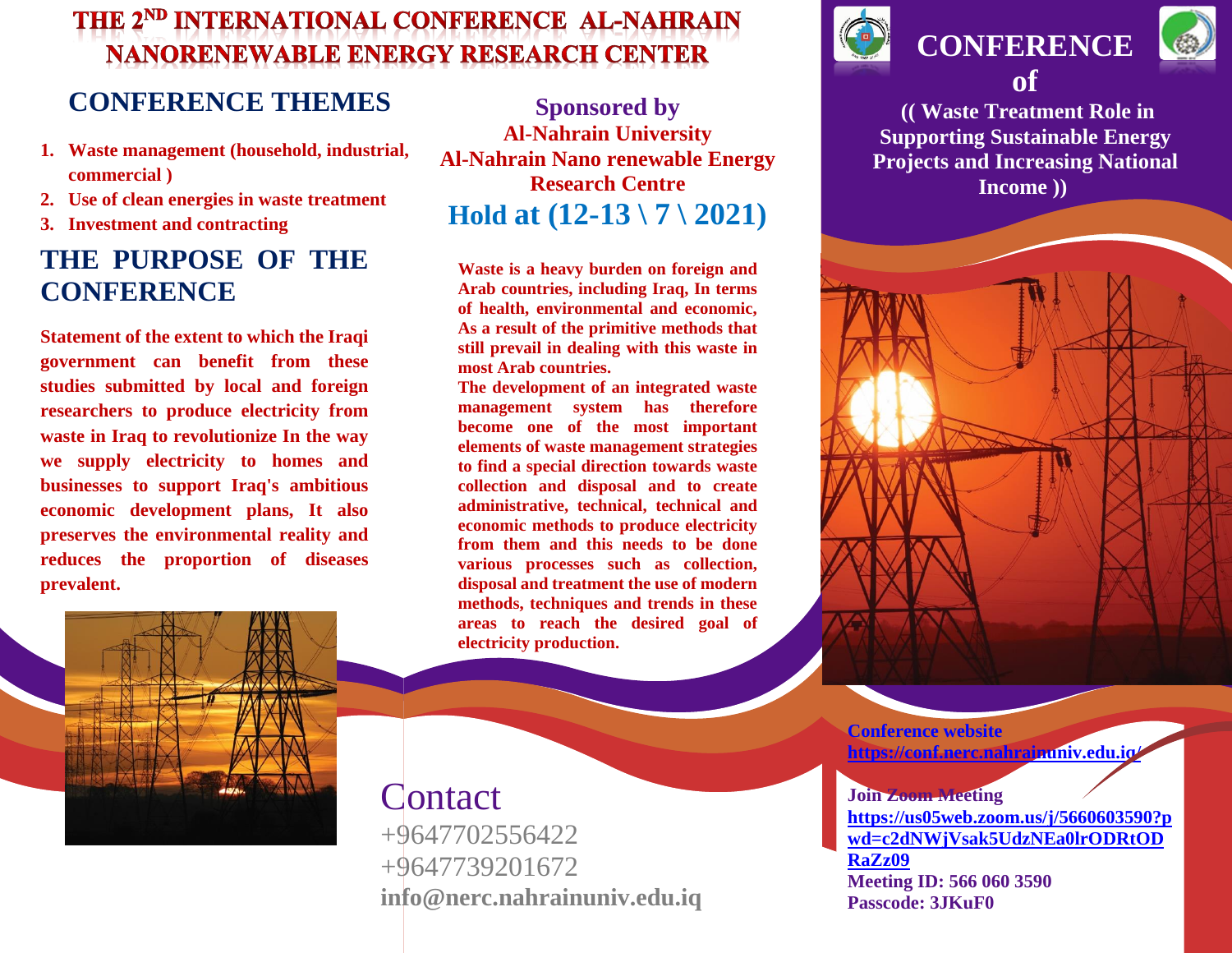# THE 2<sup>ND</sup> INTERNATIONAL CONFERENCE AL-NAHRAIN **NANORENEWABLE ENERGY RESEARCH CENTER**

### **CONFERENCE THEMES**

- **1. Waste management (household, industrial, commercial )**
- **2. Use of clean energies in waste treatment**
- **3. Investment and contracting**

## **THE PURPOSE OF THE CONFERENCE**

**Statement of the extent to which the Iraqi government can benefit from these studies submitted by local and foreign researchers to produce electricity from waste in Iraq to revolutionize In the way we supply electricity to homes and businesses to support Iraq's ambitious economic development plans, It also preserves the environmental reality and reduces the proportion of diseases prevalent.**



**Sponsored by Al-Nahrain University Al-Nahrain Nano renewable Energy Research Centre Hold at (12-13 \ 7 \ 2021)**

**Waste is a heavy burden on foreign and Arab countries, including Iraq, In terms of health, environmental and economic, As a result of the primitive methods that still prevail in dealing with this waste in most Arab countries.**

**The development of an integrated waste management system has therefore become one of the most important elements of waste management strategies to find a special direction towards waste collection and disposal and to create administrative, technical, technical and economic methods to produce electricity from them and this needs to be done various processes such as collection, disposal and treatment the use of modern methods, techniques and trends in these areas to reach the desired goal of electricity production.** 

**Contact** 

+9647702556422 +9647739201672 **info@nerc.nahrainuniv.edu.iq**



**CONFERENCE of**



**(( Waste Treatment Role in Supporting Sustainable Energy Projects and Increasing National Income ))** 

**Conference website <https://conf.nerc.nahrainuniv.edu.iq/>**

#### **Join Zoom Meeting**

**[https://us05web.zoom.us/j/5660603590?p](https://us05web.zoom.us/j/5660603590?pwd=c2dNWjVsak5UdzNEa0lrODRtODRaZz09) [wd=c2dNWjVsak5UdzNEa0lrODRtOD](https://us05web.zoom.us/j/5660603590?pwd=c2dNWjVsak5UdzNEa0lrODRtODRaZz09) [RaZz09](https://us05web.zoom.us/j/5660603590?pwd=c2dNWjVsak5UdzNEa0lrODRtODRaZz09) Meeting ID: 566 060 3590 Passcode: 3JKuF0**